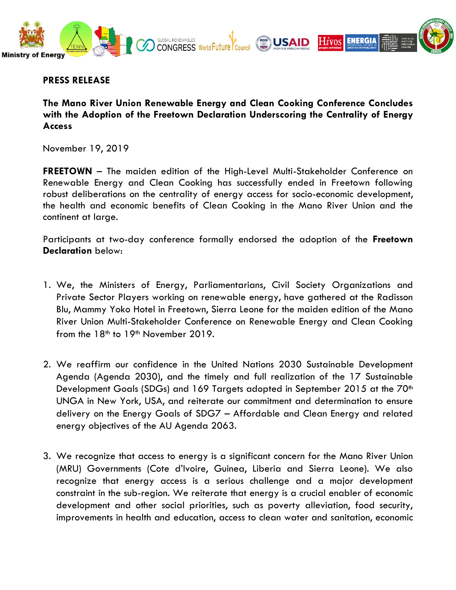

## **PRESS RELEASE**

**The Mano River Union Renewable Energy and Clean Cooking Conference Concludes with the Adoption of the Freetown Declaration Underscoring the Centrality of Energy Access**

November 19, 2019

**FREETOWN** – The maiden edition of the High-Level Multi-Stakeholder Conference on Renewable Energy and Clean Cooking has successfully ended in Freetown following robust deliberations on the centrality of energy access for socio-economic development, the health and economic benefits of Clean Cooking in the Mano River Union and the continent at large.

Participants at two-day conference formally endorsed the adoption of the **Freetown Declaration** below:

- 1. We, the Ministers of Energy, Parliamentarians, Civil Society Organizations and Private Sector Players working on renewable energy, have gathered at the Radisson Blu, Mammy Yoko Hotel in Freetown, Sierra Leone for the maiden edition of the Mano River Union Multi-Stakeholder Conference on Renewable Energy and Clean Cooking from the  $18<sup>th</sup>$  to  $19<sup>th</sup>$  November 2019.
- 2. We reaffirm our confidence in the United Nations 2030 Sustainable Development Agenda (Agenda 2030), and the timely and full realization of the 17 Sustainable Development Goals (SDGs) and 169 Targets adopted in September 2015 at the 70<sup>th</sup> UNGA in New York, USA, and reiterate our commitment and determination to ensure delivery on the Energy Goals of SDG7 – Affordable and Clean Energy and related energy objectives of the AU Agenda 2063.
- 3. We recognize that access to energy is a significant concern for the Mano River Union (MRU) Governments (Cote d'Ivoire, Guinea, Liberia and Sierra Leone). We also recognize that energy access is a serious challenge and a major development constraint in the sub-region. We reiterate that energy is a crucial enabler of economic development and other social priorities, such as poverty alleviation, food security, improvements in health and education, access to clean water and sanitation, economic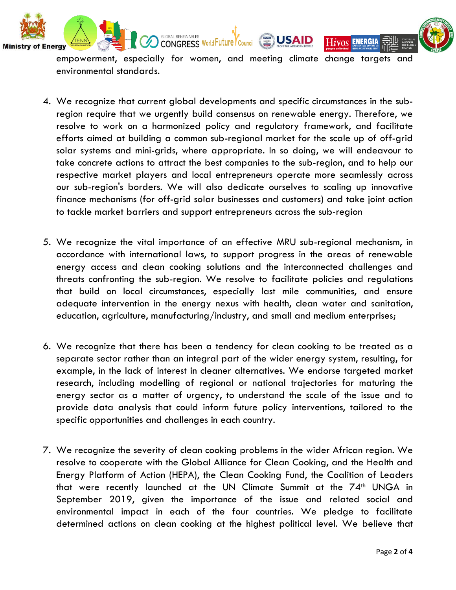

**ENERGIA** 

Hivos

empowerment, especially for women, and meeting climate change targets and environmental standards.

**USAID** 

GLOBAL RENEWABLES World Future Council

- 4. We recognize that current global developments and specific circumstances in the subregion require that we urgently build consensus on renewable energy. Therefore, we resolve to work on a harmonized policy and regulatory framework, and facilitate efforts aimed at building a common sub-regional market for the scale up of off-grid solar systems and mini-grids, where appropriate. In so doing, we will endeavour to take concrete actions to attract the best companies to the sub-region, and to help our respective market players and local entrepreneurs operate more seamlessly across our sub-region's borders. We will also dedicate ourselves to scaling up innovative finance mechanisms (for off-grid solar businesses and customers) and take joint action to tackle market barriers and support entrepreneurs across the sub-region
- 5. We recognize the vital importance of an effective MRU sub-regional mechanism, in accordance with international laws, to support progress in the areas of renewable energy access and clean cooking solutions and the interconnected challenges and threats confronting the sub-region. We resolve to facilitate policies and regulations that build on local circumstances, especially last mile communities, and ensure adequate intervention in the energy nexus with health, clean water and sanitation, education, agriculture, manufacturing/industry, and small and medium enterprises;
- 6. We recognize that there has been a tendency for clean cooking to be treated as a separate sector rather than an integral part of the wider energy system, resulting, for example, in the lack of interest in cleaner alternatives. We endorse targeted market research, including modelling of regional or national trajectories for maturing the energy sector as a matter of urgency, to understand the scale of the issue and to provide data analysis that could inform future policy interventions, tailored to the specific opportunities and challenges in each country.
- 7. We recognize the severity of clean cooking problems in the wider African region. We resolve to cooperate with the Global Alliance for Clean Cooking, and the Health and Energy Platform of Action (HEPA), the Clean Cooking Fund, the Coalition of Leaders that were recently launched at the UN Climate Summit at the  $74<sup>th</sup>$  UNGA in September 2019, given the importance of the issue and related social and environmental impact in each of the four countries. We pledge to facilitate determined actions on clean cooking at the highest political level. We believe that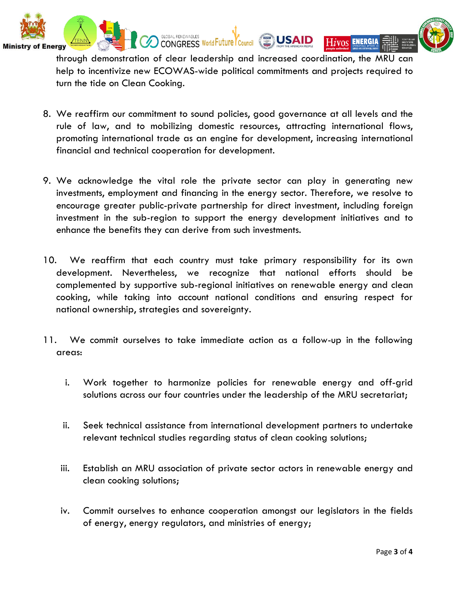



**ENERGIA** 

Hivos

through demonstration of clear leadership and increased coordination, the MRU can help to incentivize new ECOWAS-wide political commitments and projects required to turn the tide on Clean Cooking.

**Ministr** 

Enerav

- 8. We reaffirm our commitment to sound policies, good governance at all levels and the rule of law, and to mobilizing domestic resources, attracting international flows, promoting international trade as an engine for development, increasing international financial and technical cooperation for development.
- 9. We acknowledge the vital role the private sector can play in generating new investments, employment and financing in the energy sector. Therefore, we resolve to encourage greater public-private partnership for direct investment, including foreign investment in the sub-region to support the energy development initiatives and to enhance the benefits they can derive from such investments.
- 10. We reaffirm that each country must take primary responsibility for its own development. Nevertheless, we recognize that national efforts should be complemented by supportive sub-regional initiatives on renewable energy and clean cooking, while taking into account national conditions and ensuring respect for national ownership, strategies and sovereignty.
- 11. We commit ourselves to take immediate action as a follow-up in the following areas:
	- i. Work together to harmonize policies for renewable energy and off-grid solutions across our four countries under the leadership of the MRU secretariat;
	- ii. Seek technical assistance from international development partners to undertake relevant technical studies regarding status of clean cooking solutions;
	- iii. Establish an MRU association of private sector actors in renewable energy and clean cooking solutions;
	- iv. Commit ourselves to enhance cooperation amongst our legislators in the fields of energy, energy regulators, and ministries of energy;